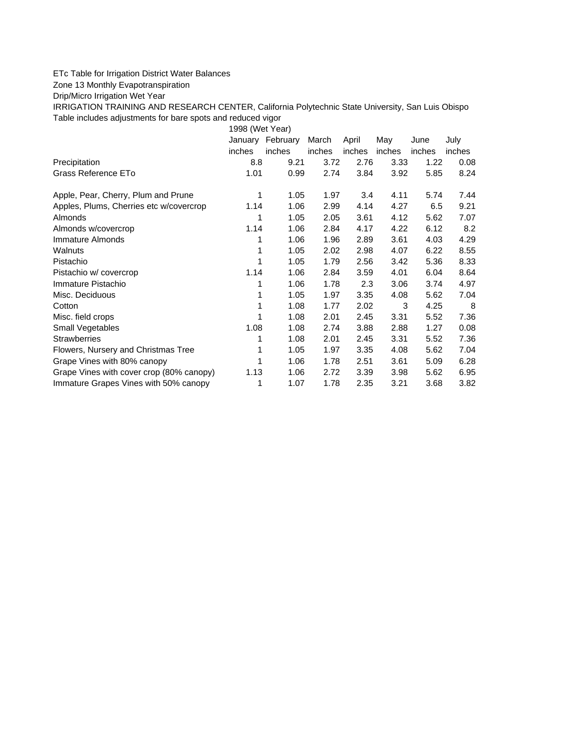## ETc Table for Irrigation District Water Balances

Zone 13 Monthly Evapotranspiration

Drip/Micro Irrigation Wet Year

IRRIGATION TRAINING AND RESEARCH CENTER, California Polytechnic State University, San Luis Obispo Table includes adjustments for bare spots and reduced vigor

1998 (Wet Year)

|                                          | January | February | March  | April  | May    | June   | July   |
|------------------------------------------|---------|----------|--------|--------|--------|--------|--------|
|                                          | inches  | inches   | inches | inches | inches | inches | inches |
| Precipitation                            | 8.8     | 9.21     | 3.72   | 2.76   | 3.33   | 1.22   | 0.08   |
| Grass Reference ETo                      | 1.01    | 0.99     | 2.74   | 3.84   | 3.92   | 5.85   | 8.24   |
| Apple, Pear, Cherry, Plum and Prune      | 1       | 1.05     | 1.97   | 3.4    | 4.11   | 5.74   | 7.44   |
| Apples, Plums, Cherries etc w/covercrop  | 1.14    | 1.06     | 2.99   | 4.14   | 4.27   | 6.5    | 9.21   |
| Almonds                                  | 1       | 1.05     | 2.05   | 3.61   | 4.12   | 5.62   | 7.07   |
| Almonds w/covercrop                      | 1.14    | 1.06     | 2.84   | 4.17   | 4.22   | 6.12   | 8.2    |
| Immature Almonds                         | 1       | 1.06     | 1.96   | 2.89   | 3.61   | 4.03   | 4.29   |
| Walnuts                                  | 1       | 1.05     | 2.02   | 2.98   | 4.07   | 6.22   | 8.55   |
| Pistachio                                | 1       | 1.05     | 1.79   | 2.56   | 3.42   | 5.36   | 8.33   |
| Pistachio w/covercrop                    | 1.14    | 1.06     | 2.84   | 3.59   | 4.01   | 6.04   | 8.64   |
| Immature Pistachio                       |         | 1.06     | 1.78   | 2.3    | 3.06   | 3.74   | 4.97   |
| Misc. Deciduous                          | 1       | 1.05     | 1.97   | 3.35   | 4.08   | 5.62   | 7.04   |
| Cotton                                   | 1       | 1.08     | 1.77   | 2.02   | 3      | 4.25   | 8      |
| Misc. field crops                        | 1       | 1.08     | 2.01   | 2.45   | 3.31   | 5.52   | 7.36   |
| Small Vegetables                         | 1.08    | 1.08     | 2.74   | 3.88   | 2.88   | 1.27   | 0.08   |
| <b>Strawberries</b>                      |         | 1.08     | 2.01   | 2.45   | 3.31   | 5.52   | 7.36   |
| Flowers, Nursery and Christmas Tree      |         | 1.05     | 1.97   | 3.35   | 4.08   | 5.62   | 7.04   |
| Grape Vines with 80% canopy              |         | 1.06     | 1.78   | 2.51   | 3.61   | 5.09   | 6.28   |
| Grape Vines with cover crop (80% canopy) | 1.13    | 1.06     | 2.72   | 3.39   | 3.98   | 5.62   | 6.95   |
| Immature Grapes Vines with 50% canopy    | 1       | 1.07     | 1.78   | 2.35   | 3.21   | 3.68   | 3.82   |